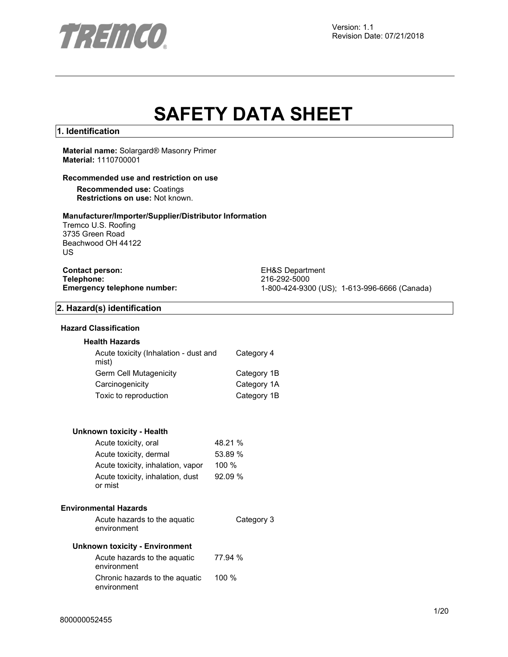

# **SAFETY DATA SHEET**

# **1. Identification**

#### **Material name:** Solargard® Masonry Primer **Material:** 1110700001

# **Recommended use and restriction on use**

**Recommended use:** Coatings **Restrictions on use:** Not known.

# **Manufacturer/Importer/Supplier/Distributor Information**

Tremco U.S. Roofing 3735 Green Road Beachwood OH 44122 US

# **Contact person:** EH&S Department<br>
Telephone: 216-292-5000 **Telephone:** 216-292-5000

**Emergency telephone number:** 1-800-424-9300 (US); 1-613-996-6666 (Canada)

# **2. Hazard(s) identification**

# **Hazard Classification**

# **Health Hazards**

| Acute toxicity (Inhalation - dust and<br>mist) | Category 4  |
|------------------------------------------------|-------------|
| Germ Cell Mutagenicity                         | Category 1B |
| Carcinogenicity                                | Category 1A |
| Toxic to reproduction                          | Category 1B |

# **Unknown toxicity - Health**

| Acute toxicity, oral                        | 48.21 %  |
|---------------------------------------------|----------|
| Acute toxicity, dermal                      | 53.89 %  |
| Acute toxicity, inhalation, vapor           | $100 \%$ |
| Acute toxicity, inhalation, dust<br>or mist | 92.09%   |

#### **Environmental Hazards**

Acute hazards to the aquatic environment Category 3

# **Unknown toxicity - Environment**

| Acute hazards to the aguatic<br>environment   | 77.94 % |
|-----------------------------------------------|---------|
| Chronic hazards to the aquatic<br>environment | $100\%$ |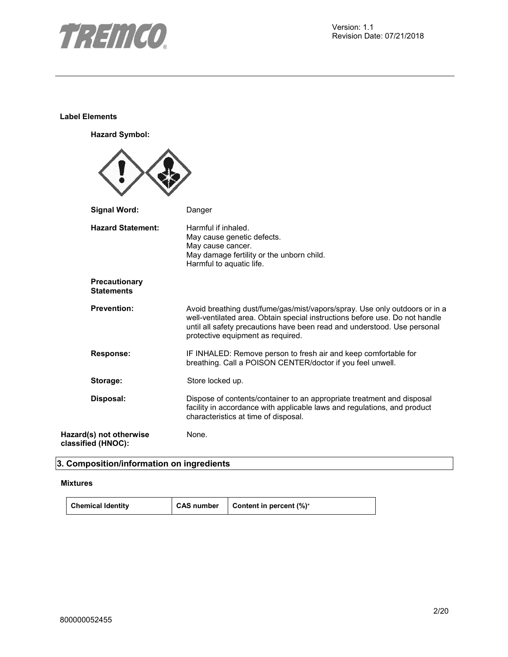

# **Label Elements**

**Hazard Symbol:**

| <b>Signal Word:</b>                           | Danger                                                                                                                                                                                                                                                                     |
|-----------------------------------------------|----------------------------------------------------------------------------------------------------------------------------------------------------------------------------------------------------------------------------------------------------------------------------|
| <b>Hazard Statement:</b>                      | Harmful if inhaled.<br>May cause genetic defects.<br>May cause cancer.<br>May damage fertility or the unborn child.<br>Harmful to aquatic life.                                                                                                                            |
| Precautionary<br><b>Statements</b>            |                                                                                                                                                                                                                                                                            |
| <b>Prevention:</b>                            | Avoid breathing dust/fume/gas/mist/vapors/spray. Use only outdoors or in a<br>well-ventilated area. Obtain special instructions before use. Do not handle<br>until all safety precautions have been read and understood. Use personal<br>protective equipment as required. |
| <b>Response:</b>                              | IF INHALED: Remove person to fresh air and keep comfortable for<br>breathing. Call a POISON CENTER/doctor if you feel unwell.                                                                                                                                              |
| Storage:                                      | Store locked up.                                                                                                                                                                                                                                                           |
| Disposal:                                     | Dispose of contents/container to an appropriate treatment and disposal<br>facility in accordance with applicable laws and regulations, and product<br>characteristics at time of disposal.                                                                                 |
| Hazard(s) not otherwise<br>classified (HNOC): | None.                                                                                                                                                                                                                                                                      |

# **3. Composition/information on ingredients**

# **Mixtures**

**Chemical Identity CAS number** Content in percent (%)\*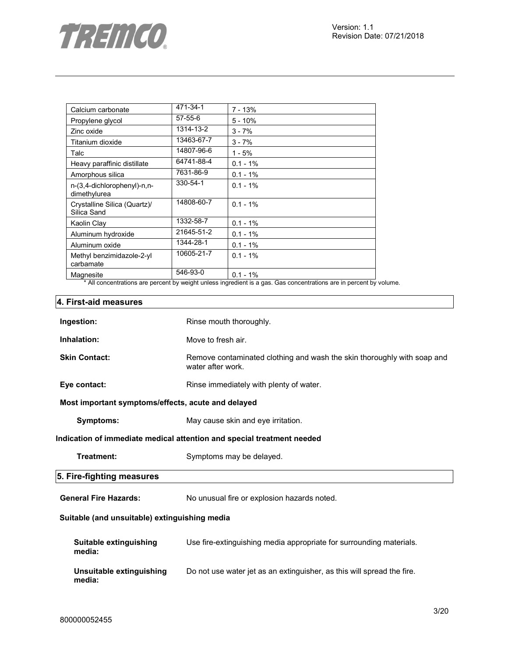

| Calcium carbonate                           | 471-34-1      | $7 - 13%$   |
|---------------------------------------------|---------------|-------------|
| Propylene glycol                            | $57 - 55 - 6$ | $5 - 10%$   |
| Zinc oxide                                  | 1314-13-2     | $3 - 7%$    |
| Titanium dioxide                            | 13463-67-7    | $3 - 7%$    |
| Talc                                        | 14807-96-6    | $1 - 5%$    |
| Heavy paraffinic distillate                 | 64741-88-4    | $0.1 - 1\%$ |
| Amorphous silica                            | 7631-86-9     | $0.1 - 1%$  |
| n-(3,4-dichlorophenyl)-n,n-<br>dimethylurea | 330-54-1      | $0.1 - 1\%$ |
| Crystalline Silica (Quartz)/<br>Silica Sand | 14808-60-7    | $0.1 - 1\%$ |
| Kaolin Clay                                 | 1332-58-7     | $0.1 - 1%$  |
| Aluminum hydroxide                          | 21645-51-2    | $0.1 - 1\%$ |
| Aluminum oxide                              | 1344-28-1     | $0.1 - 1\%$ |
| Methyl benzimidazole-2-yl<br>carbamate      | 10605-21-7    | $0.1 - 1\%$ |
| Magnesite                                   | 546-93-0      | $0.1 - 1%$  |

\* All concentrations are percent by weight unless ingredient is a gas. Gas concentrations are in percent by volume.

# **4. First-aid measures**

| Ingestion:                                         | Rinse mouth thoroughly.                                                                      |  |
|----------------------------------------------------|----------------------------------------------------------------------------------------------|--|
| Inhalation:                                        | Move to fresh air.                                                                           |  |
| <b>Skin Contact:</b>                               | Remove contaminated clothing and wash the skin thoroughly with soap and<br>water after work. |  |
| Eye contact:                                       | Rinse immediately with plenty of water.                                                      |  |
| Most important symptoms/effects, acute and delayed |                                                                                              |  |
| <b>Symptoms:</b>                                   | May cause skin and eye irritation.                                                           |  |
|                                                    | Indication of immediate medical attention and special treatment needed                       |  |
| Treatment:                                         | Symptoms may be delayed.                                                                     |  |
| 5. Fire-fighting measures                          |                                                                                              |  |
| <b>General Fire Hazards:</b>                       | No unusual fire or explosion hazards noted.                                                  |  |
| Suitable (and unsuitable) extinguishing media      |                                                                                              |  |
| Suitable extinguishing<br>media:                   | Use fire-extinguishing media appropriate for surrounding materials.                          |  |
| Unsuitable extinguishing<br>media:                 | Do not use water jet as an extinguisher, as this will spread the fire.                       |  |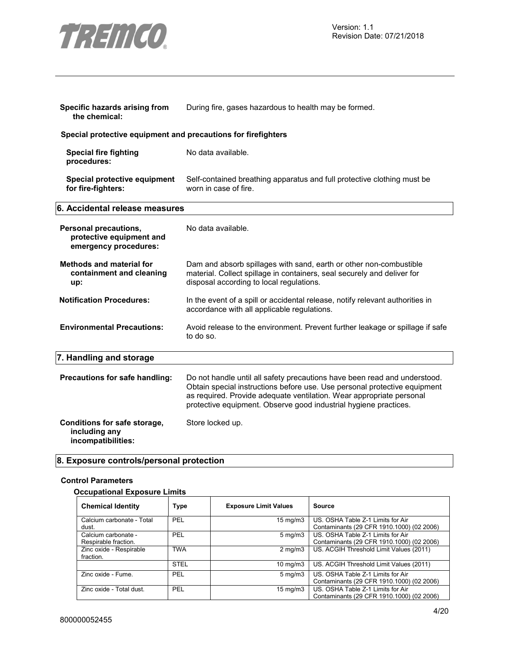

| Specific hazards arising from<br>the chemical:                             | During fire, gases hazardous to health may be formed.                                                                                                                                                                                                                                              |  |
|----------------------------------------------------------------------------|----------------------------------------------------------------------------------------------------------------------------------------------------------------------------------------------------------------------------------------------------------------------------------------------------|--|
| Special protective equipment and precautions for firefighters              |                                                                                                                                                                                                                                                                                                    |  |
| <b>Special fire fighting</b><br>procedures:                                | No data available.                                                                                                                                                                                                                                                                                 |  |
| Special protective equipment<br>for fire-fighters:                         | Self-contained breathing apparatus and full protective clothing must be<br>worn in case of fire.                                                                                                                                                                                                   |  |
| 6. Accidental release measures                                             |                                                                                                                                                                                                                                                                                                    |  |
| Personal precautions,<br>protective equipment and<br>emergency procedures: | No data available.                                                                                                                                                                                                                                                                                 |  |
| <b>Methods and material for</b><br>containment and cleaning<br>up:         | Dam and absorb spillages with sand, earth or other non-combustible<br>material. Collect spillage in containers, seal securely and deliver for<br>disposal according to local regulations.                                                                                                          |  |
| <b>Notification Procedures:</b>                                            | In the event of a spill or accidental release, notify relevant authorities in<br>accordance with all applicable regulations.                                                                                                                                                                       |  |
| <b>Environmental Precautions:</b>                                          | Avoid release to the environment. Prevent further leakage or spillage if safe<br>to do so.                                                                                                                                                                                                         |  |
| 7. Handling and storage                                                    |                                                                                                                                                                                                                                                                                                    |  |
| Precautions for safe handling:                                             | Do not handle until all safety precautions have been read and understood.<br>Obtain special instructions before use. Use personal protective equipment<br>as required. Provide adequate ventilation. Wear appropriate personal<br>protective equipment. Observe good industrial hygiene practices. |  |
| Conditions for safe storage,<br>including any<br>incompatibilities:        | Store locked up.                                                                                                                                                                                                                                                                                   |  |

# **8. Exposure controls/personal protection**

# **Control Parameters**

# **Occupational Exposure Limits**

| <b>Chemical Identity</b>                    | <b>Type</b> | <b>Exposure Limit Values</b> | Source                                                                         |
|---------------------------------------------|-------------|------------------------------|--------------------------------------------------------------------------------|
| Calcium carbonate - Total<br>dust.          | PEL         | $15 \text{ mg/m}$            | US. OSHA Table Z-1 Limits for Air<br>Contaminants (29 CFR 1910.1000) (02 2006) |
| Calcium carbonate -<br>Respirable fraction. | PEL         | $5 \text{ mg/m}$             | US. OSHA Table Z-1 Limits for Air<br>Contaminants (29 CFR 1910.1000) (02 2006) |
| Zinc oxide - Respirable<br>fraction.        | <b>TWA</b>  | $2 \text{ mg/m}$             | US. ACGIH Threshold Limit Values (2011)                                        |
|                                             | <b>STEL</b> | $10 \text{ mg/m}$            | US. ACGIH Threshold Limit Values (2011)                                        |
| Zinc oxide - Fume.                          | PEL         | $5 \text{ mg/m}$             | US. OSHA Table Z-1 Limits for Air<br>Contaminants (29 CFR 1910.1000) (02 2006) |
| Zinc oxide - Total dust.                    | PEL         | $15 \text{ mg/m}$            | US. OSHA Table Z-1 Limits for Air<br>Contaminants (29 CFR 1910.1000) (02 2006) |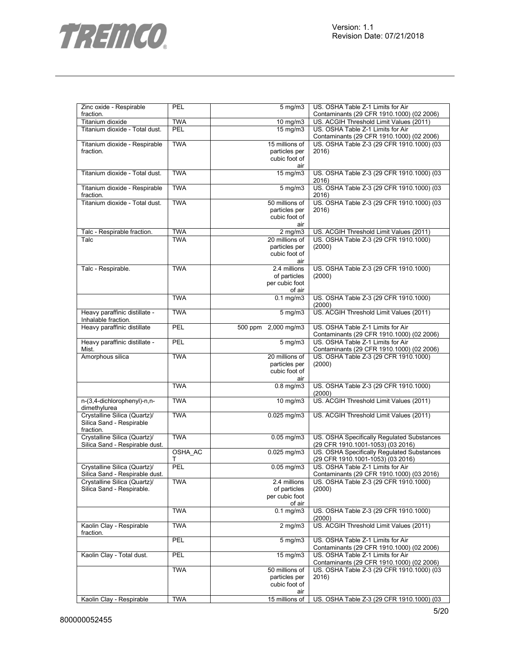

| Zinc oxide - Respirable        | PEL        | $5 \text{ mg/m}$              | US. OSHA Table Z-1 Limits for Air          |
|--------------------------------|------------|-------------------------------|--------------------------------------------|
| fraction.                      |            |                               | Contaminants (29 CFR 1910.1000) (02 2006)  |
| Titanium dioxide               | <b>TWA</b> | 10 mg/m3                      | US. ACGIH Threshold Limit Values (2011)    |
| Titanium dioxide - Total dust. | <b>PEL</b> | 15 mg/m3                      | US. OSHA Table Z-1 Limits for Air          |
|                                |            |                               | Contaminants (29 CFR 1910.1000) (02 2006)  |
| Titanium dioxide - Respirable  | <b>TWA</b> | 15 millions of                | US. OSHA Table Z-3 (29 CFR 1910.1000) (03  |
| fraction.                      |            | particles per                 | 2016)                                      |
|                                |            | cubic foot of                 |                                            |
|                                |            | air                           |                                            |
| Titanium dioxide - Total dust. | <b>TWA</b> | 15 mg/m3                      | US. OSHA Table Z-3 (29 CFR 1910.1000) (03  |
|                                |            |                               | 2016)                                      |
| Titanium dioxide - Respirable  | <b>TWA</b> | $5$ mg/m $3$                  | US. OSHA Table Z-3 (29 CFR 1910.1000) (03  |
|                                |            |                               | 2016)                                      |
| fraction.                      | <b>TWA</b> |                               |                                            |
| Titanium dioxide - Total dust. |            | 50 millions of                | US. OSHA Table Z-3 (29 CFR 1910.1000) (03  |
|                                |            | particles per                 | 2016)                                      |
|                                |            | cubic foot of                 |                                            |
|                                |            | air                           |                                            |
| Talc - Respirable fraction.    | <b>TWA</b> | $2$ mg/m $3$                  | US. ACGIH Threshold Limit Values (2011)    |
| Talc                           | <b>TWA</b> | 20 millions of                | US. OSHA Table Z-3 (29 CFR 1910.1000)      |
|                                |            | particles per                 | (2000)                                     |
|                                |            | cubic foot of                 |                                            |
|                                |            | air                           |                                            |
| Talc - Respirable.             | <b>TWA</b> | 2.4 millions                  | US. OSHA Table Z-3 (29 CFR 1910.1000)      |
|                                |            | of particles                  | (2000)                                     |
|                                |            | per cubic foot                |                                            |
|                                |            | of air                        |                                            |
|                                | <b>TWA</b> | $\overline{0.1}$ mg/m3        | US. OSHA Table Z-3 (29 CFR 1910.1000)      |
|                                |            |                               | (2000)                                     |
| Heavy paraffinic distillate -  | <b>TWA</b> | $5 \text{ mg/m}$              |                                            |
|                                |            |                               | US. ACGIH Threshold Limit Values (2011)    |
| Inhalable fraction.            |            |                               |                                            |
| Heavy paraffinic distillate    | PEL        | 500 ppm 2,000 mg/m3           | US. OSHA Table Z-1 Limits for Air          |
|                                |            |                               | Contaminants (29 CFR 1910.1000) (02 2006)  |
| Heavy paraffinic distillate -  | PEL        | $5 \text{ mg/m}$              | US. OSHA Table Z-1 Limits for Air          |
| Mist.                          |            |                               | Contaminants (29 CFR 1910.1000) (02 2006)  |
| Amorphous silica               | <b>TWA</b> | 20 millions of                | US. OSHA Table Z-3 (29 CFR 1910.1000)      |
|                                |            | particles per                 | (2000)                                     |
|                                |            | cubic foot of                 |                                            |
|                                |            | air                           |                                            |
|                                | <b>TWA</b> | $0.8$ mg/m $3$                | US. OSHA Table Z-3 (29 CFR 1910.1000)      |
|                                |            |                               | (2000)                                     |
| n-(3,4-dichlorophenyl)-n,n-    | <b>TWA</b> | 10 mg/m3                      | US. ACGIH Threshold Limit Values (2011)    |
| dimethylurea                   |            |                               |                                            |
| Crystalline Silica (Quartz)/   | <b>TWA</b> | 0.025 mg/m3                   | US. ACGIH Threshold Limit Values (2011)    |
|                                |            |                               |                                            |
| Silica Sand - Respirable       |            |                               |                                            |
| fraction.                      |            |                               |                                            |
| Crystalline Silica (Quartz)/   | <b>TWA</b> | $0.05$ mg/m $3$               | US. OSHA Specifically Regulated Substances |
| Silica Sand - Respirable dust. |            |                               | (29 CFR 1910.1001-1053) (03 2016)          |
|                                | OSHA_AC    | $0.025$ mg/m3                 | US. OSHA Specifically Regulated Substances |
|                                | Т          |                               | (29 CFR 1910.1001-1053) (03 2016)          |
| Crystalline Silica (Quartz)/   | PEL        | $0.05$ mg/m $3$               | US. OSHA Table Z-1 Limits for Air          |
| Silica Sand - Respirable dust. |            |                               | Contaminants (29 CFR 1910.1000) (03 2016)  |
| Crystalline Silica (Quartz)/   | <b>TWA</b> | 2.4 millions                  | US. OSHA Table Z-3 (29 CFR 1910.1000)      |
| Silica Sand - Respirable.      |            | of particles                  | (2000)                                     |
|                                |            | per cubic foot                |                                            |
|                                |            | of air                        |                                            |
|                                | <b>TWA</b> | $0.1 \text{ mg/m}$            | US. OSHA Table Z-3 (29 CFR 1910.1000)      |
|                                |            |                               | (2000)                                     |
|                                | <b>TWA</b> |                               |                                            |
| Kaolin Clay - Respirable       |            | $2$ mg/m $3$                  | US. ACGIH Threshold Limit Values (2011)    |
| fraction.                      |            |                               |                                            |
|                                | PEL        | $5 \overline{\mathrm{mg}}$ m3 | US. OSHA Table Z-1 Limits for Air          |
|                                |            |                               | Contaminants (29 CFR 1910.1000) (02 2006)  |
| Kaolin Clay - Total dust.      | PEL        | 15 mg/m3                      | US. OSHA Table Z-1 Limits for Air          |
|                                |            |                               | Contaminants (29 CFR 1910.1000) (02 2006)  |
|                                | <b>TWA</b> | 50 millions of                | US. OSHA Table Z-3 (29 CFR 1910.1000) (03  |
|                                |            | particles per                 | 2016)                                      |
|                                |            | cubic foot of                 |                                            |
|                                |            | air                           |                                            |
|                                |            |                               |                                            |
| Kaolin Clay - Respirable       | <b>TWA</b> | 15 millions of                | US. OSHA Table Z-3 (29 CFR 1910.1000) (03  |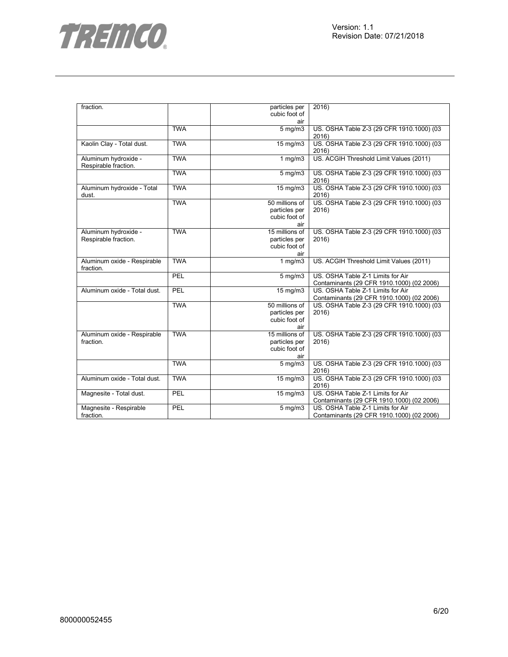

| fraction.                    |            | particles per        | 2016)                                     |
|------------------------------|------------|----------------------|-------------------------------------------|
|                              |            | cubic foot of        |                                           |
|                              |            | air                  |                                           |
|                              | <b>TWA</b> | $5$ mg/m $3$         | US. OSHA Table Z-3 (29 CFR 1910.1000) (03 |
|                              |            |                      | 2016)                                     |
| Kaolin Clay - Total dust.    | <b>TWA</b> | $15 \text{ mg/m}$    | US. OSHA Table Z-3 (29 CFR 1910.1000) (03 |
|                              |            |                      | 2016)                                     |
|                              | <b>TWA</b> |                      | US. ACGIH Threshold Limit Values (2011)   |
| Aluminum hydroxide -         |            | $1$ mg/m $3$         |                                           |
| Respirable fraction.         |            |                      |                                           |
|                              | <b>TWA</b> | $5$ mg/m $3$         | US. OSHA Table Z-3 (29 CFR 1910.1000) (03 |
|                              |            |                      | 2016)                                     |
| Aluminum hydroxide - Total   | <b>TWA</b> | 15 mg/m3             | US. OSHA Table Z-3 (29 CFR 1910.1000) (03 |
| dust.                        |            |                      | 2016)                                     |
|                              | <b>TWA</b> | 50 millions of       | US. OSHA Table Z-3 (29 CFR 1910.1000) (03 |
|                              |            | particles per        | 2016)                                     |
|                              |            | cubic foot of        |                                           |
|                              |            | air                  |                                           |
| Aluminum hydroxide -         | <b>TWA</b> | 15 millions of       | US. OSHA Table Z-3 (29 CFR 1910.1000) (03 |
|                              |            |                      |                                           |
| Respirable fraction.         |            | particles per        | 2016)                                     |
|                              |            | cubic foot of        |                                           |
|                              |            | air                  |                                           |
| Aluminum oxide - Respirable  | <b>TWA</b> | 1 $mg/m3$            | US. ACGIH Threshold Limit Values (2011)   |
| fraction.                    |            |                      |                                           |
|                              | PEL        | $5$ mg/m $3$         | US. OSHA Table Z-1 Limits for Air         |
|                              |            |                      | Contaminants (29 CFR 1910.1000) (02 2006) |
| Aluminum oxide - Total dust. | PEL        | 15 mg/m3             | US. OSHA Table Z-1 Limits for Air         |
|                              |            |                      | Contaminants (29 CFR 1910.1000) (02 2006) |
|                              | <b>TWA</b> | 50 millions of       | US. OSHA Table Z-3 (29 CFR 1910.1000) (03 |
|                              |            | particles per        | 2016)                                     |
|                              |            | cubic foot of        |                                           |
|                              |            | air                  |                                           |
|                              | <b>TWA</b> | 15 millions of       |                                           |
| Aluminum oxide - Respirable  |            |                      | US. OSHA Table Z-3 (29 CFR 1910.1000) (03 |
| fraction.                    |            | particles per        | 2016)                                     |
|                              |            | cubic foot of        |                                           |
|                              |            | air                  |                                           |
|                              | <b>TWA</b> | $5$ mg/m $3$         | US. OSHA Table Z-3 (29 CFR 1910.1000) (03 |
|                              |            |                      | 2016)                                     |
| Aluminum oxide - Total dust. | <b>TWA</b> | 15 mg/m3             | US. OSHA Table Z-3 (29 CFR 1910.1000) (03 |
|                              |            |                      | 2016)                                     |
| Magnesite - Total dust.      | PEL        | 15 mg/m3             | US. OSHA Table Z-1 Limits for Air         |
|                              |            |                      | Contaminants (29 CFR 1910.1000) (02 2006) |
| Magnesite - Respirable       | PEL        | $\overline{5}$ mg/m3 | US. OSHA Table Z-1 Limits for Air         |
| fraction.                    |            |                      | Contaminants (29 CFR 1910.1000) (02 2006) |
|                              |            |                      |                                           |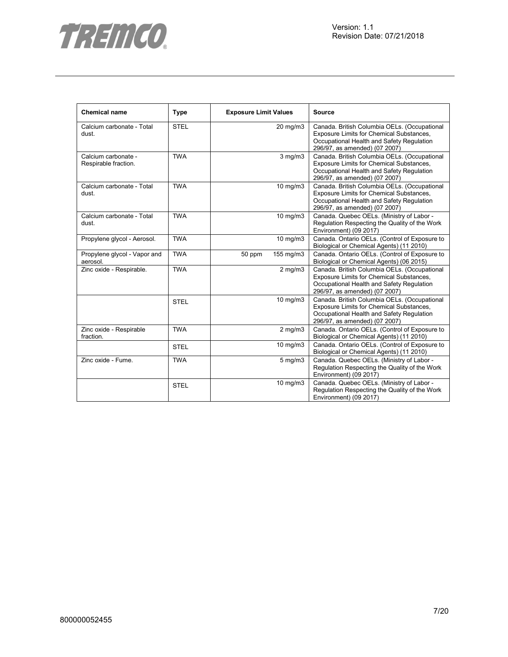



| <b>Chemical name</b>                        | <b>Type</b> | <b>Exposure Limit Values</b> | <b>Source</b>                                                                                                                                                                 |
|---------------------------------------------|-------------|------------------------------|-------------------------------------------------------------------------------------------------------------------------------------------------------------------------------|
| Calcium carbonate - Total<br>dust.          | <b>STEL</b> | 20 mg/m3                     | Canada. British Columbia OELs. (Occupational<br><b>Exposure Limits for Chemical Substances,</b><br>Occupational Health and Safety Regulation<br>296/97, as amended) (07 2007) |
| Calcium carbonate -<br>Respirable fraction. | <b>TWA</b>  | $3$ mg/m $3$                 | Canada. British Columbia OELs. (Occupational<br>Exposure Limits for Chemical Substances,<br>Occupational Health and Safety Regulation<br>296/97, as amended) (07 2007)        |
| Calcium carbonate - Total<br>dust.          | <b>TWA</b>  | 10 mg/m3                     | Canada. British Columbia OELs. (Occupational<br>Exposure Limits for Chemical Substances,<br>Occupational Health and Safety Regulation<br>296/97, as amended) (07 2007)        |
| Calcium carbonate - Total<br>dust.          | <b>TWA</b>  | 10 mg/m3                     | Canada. Quebec OELs. (Ministry of Labor -<br>Regulation Respecting the Quality of the Work<br>Environment) (09 2017)                                                          |
| Propylene glycol - Aerosol.                 | <b>TWA</b>  | 10 mg/m3                     | Canada. Ontario OELs. (Control of Exposure to<br>Biological or Chemical Agents) (11 2010)                                                                                     |
| Propylene glycol - Vapor and<br>aerosol.    | <b>TWA</b>  | 155 mg/m3<br>50 ppm          | Canada. Ontario OELs. (Control of Exposure to<br>Biological or Chemical Agents) (06 2015)                                                                                     |
| Zinc oxide - Respirable.                    | <b>TWA</b>  | $2$ mg/m $3$                 | Canada. British Columbia OELs. (Occupational<br>Exposure Limits for Chemical Substances,<br>Occupational Health and Safety Regulation<br>296/97, as amended) (07 2007)        |
|                                             | <b>STEL</b> | 10 mg/m3                     | Canada. British Columbia OELs. (Occupational<br>Exposure Limits for Chemical Substances,<br>Occupational Health and Safety Regulation<br>296/97, as amended) (07 2007)        |
| Zinc oxide - Respirable<br>fraction.        | <b>TWA</b>  | $2$ mg/m $3$                 | Canada. Ontario OELs. (Control of Exposure to<br>Biological or Chemical Agents) (11 2010)                                                                                     |
|                                             | <b>STEL</b> | 10 mg/m3                     | Canada. Ontario OELs. (Control of Exposure to<br>Biological or Chemical Agents) (11 2010)                                                                                     |
| Zinc oxide - Fume.                          | <b>TWA</b>  | 5 mg/m3                      | Canada. Quebec OELs. (Ministry of Labor -<br>Regulation Respecting the Quality of the Work<br>Environment) (09 2017)                                                          |
|                                             | <b>STEL</b> | 10 mg/m3                     | Canada. Quebec OELs. (Ministry of Labor -<br>Regulation Respecting the Quality of the Work<br>Environment) (09 2017)                                                          |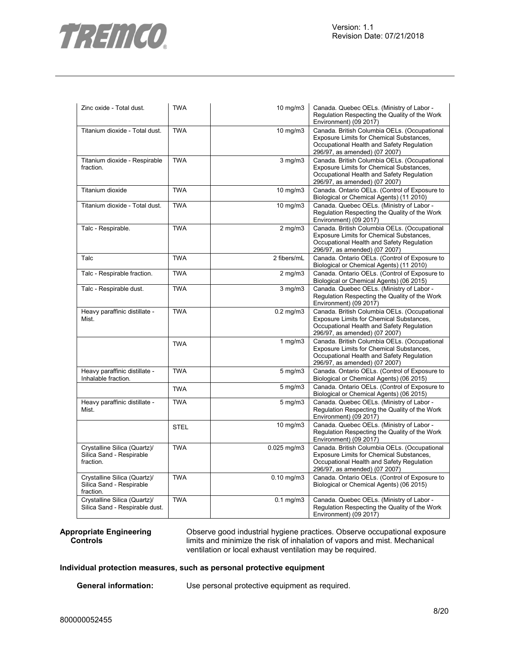

| Zinc oxide - Total dust.                                              | <b>TWA</b>  | $10$ mg/m $3$   | Canada. Quebec OELs. (Ministry of Labor -<br>Regulation Respecting the Quality of the Work<br>Environment) (09 2017)                                                   |
|-----------------------------------------------------------------------|-------------|-----------------|------------------------------------------------------------------------------------------------------------------------------------------------------------------------|
| Titanium dioxide - Total dust.                                        | <b>TWA</b>  | $10$ mg/m $3$   | Canada. British Columbia OELs. (Occupational<br>Exposure Limits for Chemical Substances,<br>Occupational Health and Safety Regulation<br>296/97, as amended) (07 2007) |
| Titanium dioxide - Respirable<br>fraction.                            | <b>TWA</b>  | $3$ mg/m $3$    | Canada. British Columbia OELs. (Occupational<br>Exposure Limits for Chemical Substances,<br>Occupational Health and Safety Regulation<br>296/97, as amended) (07 2007) |
| Titanium dioxide                                                      | <b>TWA</b>  | $10$ mg/m $3$   | Canada. Ontario OELs. (Control of Exposure to<br>Biological or Chemical Agents) (11 2010)                                                                              |
| Titanium dioxide - Total dust.                                        | <b>TWA</b>  | $10$ mg/m $3$   | Canada. Quebec OELs. (Ministry of Labor -<br>Regulation Respecting the Quality of the Work<br>Environment) (09 2017)                                                   |
| Talc - Respirable.                                                    | <b>TWA</b>  | $2$ mg/m $3$    | Canada. British Columbia OELs. (Occupational<br>Exposure Limits for Chemical Substances,<br>Occupational Health and Safety Regulation<br>296/97, as amended) (07 2007) |
| Talc                                                                  | <b>TWA</b>  | 2 fibers/mL     | Canada. Ontario OELs. (Control of Exposure to<br>Biological or Chemical Agents) (11 2010)                                                                              |
| Talc - Respirable fraction.                                           | <b>TWA</b>  | $2$ mg/m $3$    | Canada. Ontario OELs. (Control of Exposure to<br>Biological or Chemical Agents) (06 2015)                                                                              |
| Talc - Respirable dust.                                               | <b>TWA</b>  | $3$ mg/m $3$    | Canada. Quebec OELs. (Ministry of Labor -<br>Regulation Respecting the Quality of the Work<br>Environment) (09 2017)                                                   |
| Heavy paraffinic distillate -<br>Mist.                                | <b>TWA</b>  | $0.2$ mg/m $3$  | Canada. British Columbia OELs. (Occupational<br>Exposure Limits for Chemical Substances,<br>Occupational Health and Safety Regulation<br>296/97, as amended) (07 2007) |
|                                                                       | <b>TWA</b>  | 1 $mg/m3$       | Canada. British Columbia OELs. (Occupational<br>Exposure Limits for Chemical Substances,<br>Occupational Health and Safety Regulation<br>296/97, as amended) (07 2007) |
| Heavy paraffinic distillate -<br>Inhalable fraction.                  | <b>TWA</b>  | $5$ mg/m $3$    | Canada. Ontario OELs. (Control of Exposure to<br>Biological or Chemical Agents) (06 2015)                                                                              |
|                                                                       | <b>TWA</b>  | $5$ mg/m $3$    | Canada. Ontario OELs. (Control of Exposure to<br>Biological or Chemical Agents) (06 2015)                                                                              |
| Heavy paraffinic distillate -<br>Mist.                                | <b>TWA</b>  | $5$ mg/m $3$    | Canada. Quebec OELs. (Ministry of Labor -<br>Regulation Respecting the Quality of the Work<br>Environment) (09 2017)                                                   |
|                                                                       | <b>STEL</b> | 10 mg/m3        | Canada. Quebec OELs. (Ministry of Labor -<br>Regulation Respecting the Quality of the Work<br>Environment) (09 2017)                                                   |
| Crystalline Silica (Quartz)/<br>Silica Sand - Respirable<br>fraction. | <b>TWA</b>  | 0.025 mg/m3     | Canada. British Columbia OELs. (Occupational<br>Exposure Limits for Chemical Substances,<br>Occupational Health and Safety Regulation<br>296/97, as amended) (07 2007) |
| Crystalline Silica (Quartz)/<br>Silica Sand - Respirable<br>fraction. | <b>TWA</b>  | $0.10$ mg/m $3$ | Canada. Ontario OELs. (Control of Exposure to<br>Biological or Chemical Agents) (06 2015)                                                                              |
| Crystalline Silica (Quartz)/<br>Silica Sand - Respirable dust.        | <b>TWA</b>  | $0.1$ mg/m $3$  | Canada. Quebec OELs. (Ministry of Labor -<br>Regulation Respecting the Quality of the Work<br>Environment) (09 2017)                                                   |

#### **Appropriate Engineering Controls**

Observe good industrial hygiene practices. Observe occupational exposure limits and minimize the risk of inhalation of vapors and mist. Mechanical ventilation or local exhaust ventilation may be required.

# **Individual protection measures, such as personal protective equipment**

**General information:** Use personal protective equipment as required.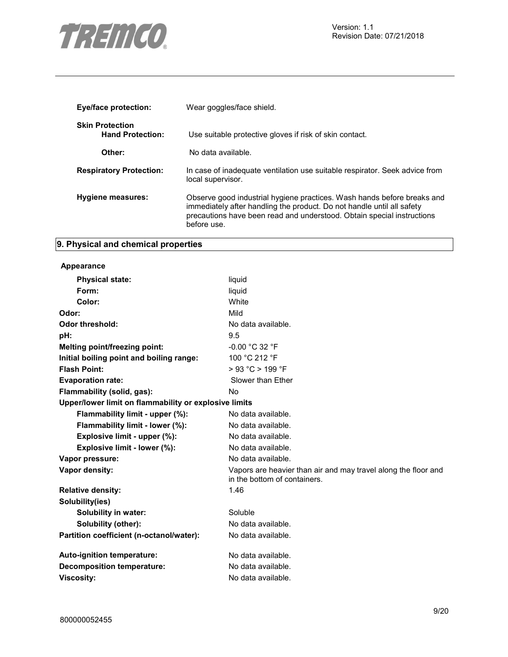

| <b>Eye/face protection:</b>                       | Wear goggles/face shield.                                                                                                                                                                                                                  |
|---------------------------------------------------|--------------------------------------------------------------------------------------------------------------------------------------------------------------------------------------------------------------------------------------------|
| <b>Skin Protection</b><br><b>Hand Protection:</b> | Use suitable protective gloves if risk of skin contact.                                                                                                                                                                                    |
| Other:                                            | No data available.                                                                                                                                                                                                                         |
| <b>Respiratory Protection:</b>                    | In case of inadequate ventilation use suitable respirator. Seek advice from<br>local supervisor.                                                                                                                                           |
| Hygiene measures:                                 | Observe good industrial hygiene practices. Wash hands before breaks and<br>immediately after handling the product. Do not handle until all safety<br>precautions have been read and understood. Obtain special instructions<br>before use. |

# **9. Physical and chemical properties**

# **Appearance**

| <b>Physical state:</b>                                | liquid                                                                                         |  |  |  |
|-------------------------------------------------------|------------------------------------------------------------------------------------------------|--|--|--|
| Form:                                                 | liquid                                                                                         |  |  |  |
| Color:                                                | White                                                                                          |  |  |  |
| Odor:                                                 | Mild                                                                                           |  |  |  |
| <b>Odor threshold:</b>                                | No data available.                                                                             |  |  |  |
| pH:                                                   | 9.5                                                                                            |  |  |  |
| Melting point/freezing point:                         | $-0.00 °C 32 °F$                                                                               |  |  |  |
| Initial boiling point and boiling range:              | 100 °C 212 °F                                                                                  |  |  |  |
| <b>Flash Point:</b>                                   | > 93 °C > 199 °F                                                                               |  |  |  |
| <b>Evaporation rate:</b>                              | Slower than Ether                                                                              |  |  |  |
| Flammability (solid, gas):                            | N <sub>o</sub>                                                                                 |  |  |  |
| Upper/lower limit on flammability or explosive limits |                                                                                                |  |  |  |
| Flammability limit - upper (%):                       | No data available.                                                                             |  |  |  |
| Flammability limit - lower (%):                       | No data available.                                                                             |  |  |  |
| Explosive limit - upper (%):                          | No data available.                                                                             |  |  |  |
| Explosive limit - lower (%):                          | No data available.                                                                             |  |  |  |
| Vapor pressure:                                       | No data available.                                                                             |  |  |  |
| Vapor density:                                        | Vapors are heavier than air and may travel along the floor and<br>in the bottom of containers. |  |  |  |
| <b>Relative density:</b>                              | 1.46                                                                                           |  |  |  |
| Solubility(ies)                                       |                                                                                                |  |  |  |
| Solubility in water:                                  | Soluble                                                                                        |  |  |  |
| Solubility (other):                                   | No data available.                                                                             |  |  |  |
| Partition coefficient (n-octanol/water):              | No data available.                                                                             |  |  |  |
| Auto-ignition temperature:                            | No data available.                                                                             |  |  |  |
| <b>Decomposition temperature:</b>                     | No data available.                                                                             |  |  |  |
| <b>Viscosity:</b>                                     | No data available.                                                                             |  |  |  |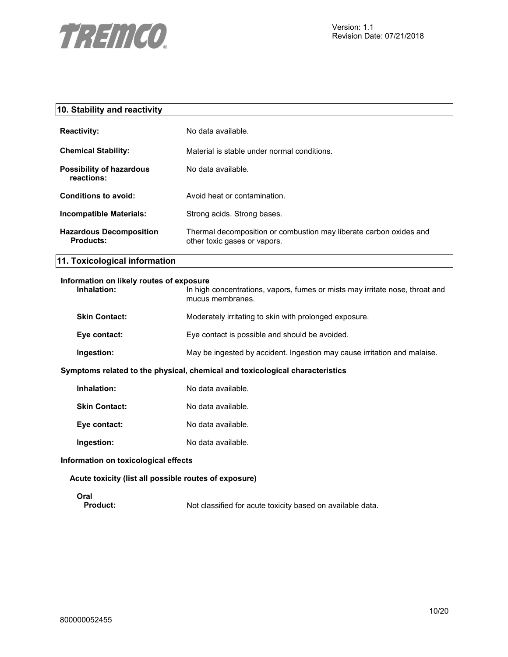

| 10. Stability and reactivity                            |                                                                                                    |
|---------------------------------------------------------|----------------------------------------------------------------------------------------------------|
| <b>Reactivity:</b>                                      | No data available.                                                                                 |
| <b>Chemical Stability:</b>                              | Material is stable under normal conditions.                                                        |
| <b>Possibility of hazardous</b><br>reactions:           | No data available.                                                                                 |
| <b>Conditions to avoid:</b>                             | Avoid heat or contamination.                                                                       |
| <b>Incompatible Materials:</b>                          | Strong acids. Strong bases.                                                                        |
| <b>Hazardous Decomposition</b><br><b>Products:</b>      | Thermal decomposition or combustion may liberate carbon oxides and<br>other toxic gases or vapors. |
| 11. Toxicological information                           |                                                                                                    |
| Information on likely routes of exposure<br>Inhalation: | In high concentrations, vapors, fumes or mists may irritate nose, throat and<br>mucus membranes.   |
| <b>Skin Contact:</b>                                    | Moderately irritating to skin with prolonged exposure.                                             |
| Eye contact:                                            | Eye contact is possible and should be avoided.                                                     |
| Ingestion:                                              | May be ingested by accident. Ingestion may cause irritation and malaise.                           |
|                                                         | Symptoms related to the physical, chemical and toxicological characteristics                       |
| Inhalation:                                             | No data available.                                                                                 |
| <b>Skin Contact:</b>                                    | No data available.                                                                                 |
| Eye contact:                                            | No data available.                                                                                 |
| Ingestion:                                              | No data available.                                                                                 |
| Information on toxicological effects                    |                                                                                                    |
| Acute toxicity (list all possible routes of exposure)   |                                                                                                    |
| Oral                                                    |                                                                                                    |

Product: Not classified for acute toxicity based on available data.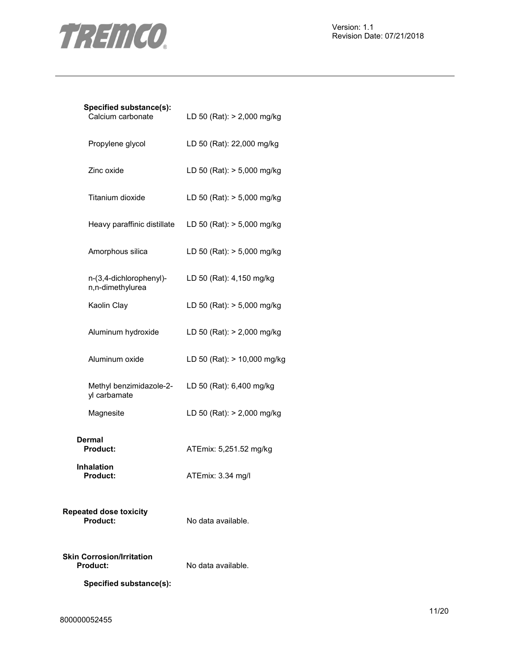

| Calcium carbonate                                   | LD 50 (Rat): > 2,000 mg/kg                               |
|-----------------------------------------------------|----------------------------------------------------------|
| Propylene glycol                                    | LD 50 (Rat): 22,000 mg/kg                                |
| Zinc oxide                                          | LD 50 (Rat): > 5,000 mg/kg                               |
| Titanium dioxide                                    | LD 50 (Rat): > 5,000 mg/kg                               |
|                                                     | Heavy paraffinic distillate $LD 50 (Rat): > 5,000 mg/kg$ |
| Amorphous silica                                    | LD 50 (Rat): > 5,000 mg/kg                               |
| n-(3,4-dichlorophenyl)-<br>n,n-dimethylurea         | LD 50 (Rat): 4,150 mg/kg                                 |
| Kaolin Clay                                         | LD 50 (Rat): > 5,000 mg/kg                               |
| Aluminum hydroxide                                  | LD 50 (Rat): > 2,000 mg/kg                               |
| Aluminum oxide                                      | LD 50 (Rat): > 10,000 mg/kg                              |
| yl carbamate                                        | Methyl benzimidazole-2- LD 50 (Rat): 6,400 mg/kg         |
| Magnesite                                           | LD 50 (Rat): > 2,000 mg/kg                               |
| Dermal<br>Product:                                  | ATEmix: 5,251.52 mg/kg                                   |
| <b>Inhalation</b><br><b>Product:</b>                | ATEmix: 3.34 mg/l                                        |
| <b>Repeated dose toxicity</b><br>Product:           | No data available.                                       |
| <b>Skin Corrosion/Irritation</b><br><b>Product:</b> | No data available.                                       |

**Specified substance(s):**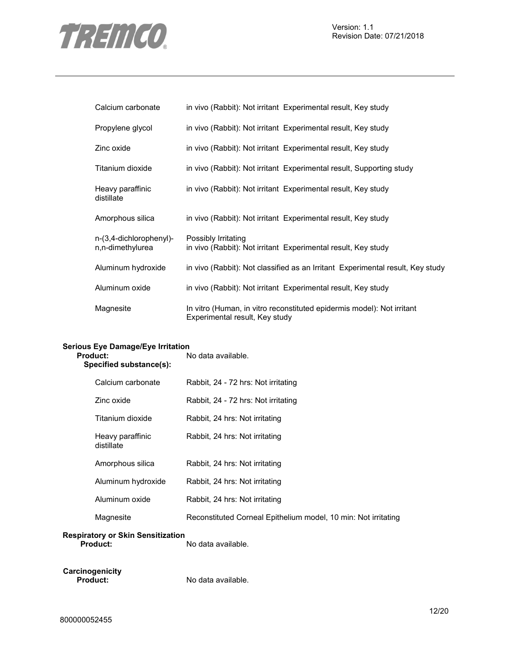

| Calcium carbonate                           | in vivo (Rabbit): Not irritant Experimental result, Key study                                            |
|---------------------------------------------|----------------------------------------------------------------------------------------------------------|
| Propylene glycol                            | in vivo (Rabbit): Not irritant Experimental result, Key study                                            |
| Zinc oxide                                  | in vivo (Rabbit): Not irritant Experimental result, Key study                                            |
| Titanium dioxide                            | in vivo (Rabbit): Not irritant Experimental result, Supporting study                                     |
| Heavy paraffinic<br>distillate              | in vivo (Rabbit): Not irritant Experimental result, Key study                                            |
| Amorphous silica                            | in vivo (Rabbit): Not irritant Experimental result, Key study                                            |
| n-(3,4-dichlorophenyl)-<br>n,n-dimethylurea | Possibly Irritating<br>in vivo (Rabbit): Not irritant Experimental result, Key study                     |
| Aluminum hydroxide                          | in vivo (Rabbit): Not classified as an Irritant Experimental result, Key study                           |
| Aluminum oxide                              | in vivo (Rabbit): Not irritant Experimental result, Key study                                            |
| Magnesite                                   | In vitro (Human, in vitro reconstituted epidermis model): Not irritant<br>Experimental result, Key study |

# **Serious Eye Damage/Eye Irritation**

| Product:<br>Specified substance(s): |                                | No data available.                                             |  |
|-------------------------------------|--------------------------------|----------------------------------------------------------------|--|
|                                     | Calcium carbonate              | Rabbit, 24 - 72 hrs: Not irritating                            |  |
|                                     | Zinc oxide                     | Rabbit, 24 - 72 hrs: Not irritating                            |  |
|                                     | Titanium dioxide               | Rabbit, 24 hrs: Not irritating                                 |  |
|                                     | Heavy paraffinic<br>distillate | Rabbit, 24 hrs: Not irritating                                 |  |
|                                     | Amorphous silica               | Rabbit, 24 hrs: Not irritating                                 |  |
|                                     | Aluminum hydroxide             | Rabbit, 24 hrs: Not irritating                                 |  |
|                                     | Aluminum oxide                 | Rabbit, 24 hrs: Not irritating                                 |  |
|                                     | Magnesite                      | Reconstituted Corneal Epithelium model, 10 min: Not irritating |  |
|                                     |                                |                                                                |  |

# **Respiratory or Skin Sensitization**

**Product:** No data available.

**Carcinogenicity** 

**Product:** No data available.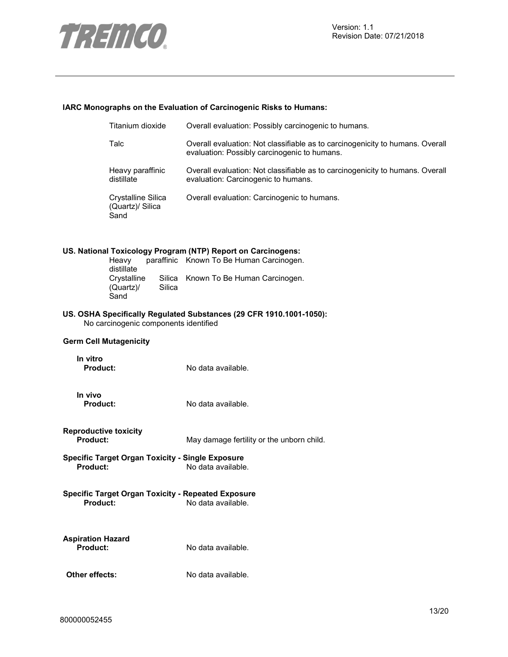

# **IARC Monographs on the Evaluation of Carcinogenic Risks to Humans:**

|                                                 | Titanium dioxide                               |                  | Overall evaluation: Possibly carcinogenic to humans.                                                                          |
|-------------------------------------------------|------------------------------------------------|------------------|-------------------------------------------------------------------------------------------------------------------------------|
|                                                 | Talc                                           |                  | Overall evaluation: Not classifiable as to carcinogenicity to humans. Overall<br>evaluation: Possibly carcinogenic to humans. |
|                                                 | Heavy paraffinic<br>distillate                 |                  | Overall evaluation: Not classifiable as to carcinogenicity to humans. Overall<br>evaluation: Carcinogenic to humans.          |
|                                                 | Crystalline Silica<br>(Quartz)/ Silica<br>Sand |                  | Overall evaluation: Carcinogenic to humans.                                                                                   |
|                                                 | Heavy                                          |                  | US. National Toxicology Program (NTP) Report on Carcinogens:<br>paraffinic Known To Be Human Carcinogen.                      |
|                                                 | distillate<br>Crystalline<br>(Quartz)/<br>Sand | Silica<br>Silica | Known To Be Human Carcinogen.                                                                                                 |
|                                                 | No carcinogenic components identified          |                  | US. OSHA Specifically Regulated Substances (29 CFR 1910.1001-1050):                                                           |
|                                                 | <b>Germ Cell Mutagenicity</b>                  |                  |                                                                                                                               |
| In vitro<br><b>Product:</b>                     |                                                |                  | No data available.                                                                                                            |
| In vivo<br><b>Product:</b>                      |                                                |                  | No data available.                                                                                                            |
| <b>Reproductive toxicity</b><br><b>Product:</b> |                                                |                  | May damage fertility or the unborn child.                                                                                     |
| Product:                                        |                                                |                  | <b>Specific Target Organ Toxicity - Single Exposure</b><br>No data available.                                                 |
| <b>Product:</b>                                 |                                                |                  | <b>Specific Target Organ Toxicity - Repeated Exposure</b><br>No data available.                                               |
| <b>Aspiration Hazard</b><br><b>Product:</b>     |                                                |                  | No data available.                                                                                                            |
| Other effects:                                  |                                                |                  | No data available.                                                                                                            |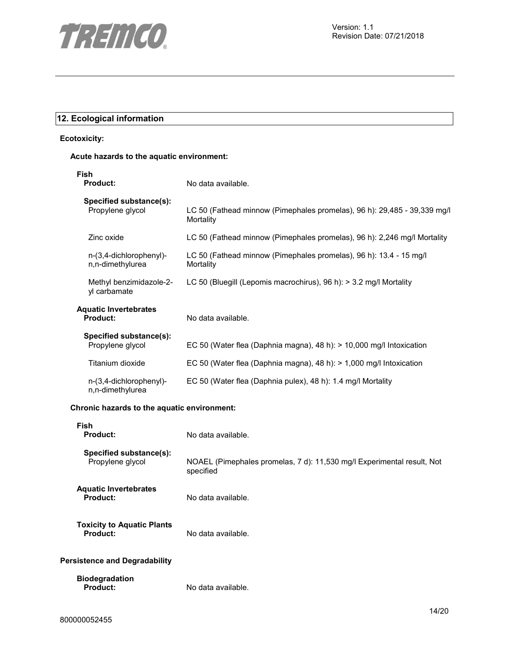

# **12. Ecological information**

# **Ecotoxicity:**

# **Acute hazards to the aquatic environment:**

| Fish<br><b>Product:</b>                     | No data available.                                                                    |
|---------------------------------------------|---------------------------------------------------------------------------------------|
| Specified substance(s):<br>Propylene glycol | LC 50 (Fathead minnow (Pimephales promelas), 96 h): 29,485 - 39,339 mg/l<br>Mortality |
| Zinc oxide                                  | LC 50 (Fathead minnow (Pimephales promelas), 96 h): 2,246 mg/l Mortality              |
| n-(3,4-dichlorophenyl)-<br>n,n-dimethylurea | LC 50 (Fathead minnow (Pimephales promelas), 96 h): 13.4 - 15 mg/l<br>Mortality       |
| Methyl benzimidazole-2-<br>yl carbamate     | LC 50 (Bluegill (Lepomis macrochirus), 96 h): > 3.2 mg/l Mortality                    |
| <b>Aquatic Invertebrates</b><br>Product:    | No data available.                                                                    |
| Specified substance(s):<br>Propylene glycol | EC 50 (Water flea (Daphnia magna), 48 h): > 10,000 mg/l Intoxication                  |
| Titanium dioxide                            | EC 50 (Water flea (Daphnia magna), 48 h): $> 1,000$ mg/l Intoxication                 |
| n-(3,4-dichlorophenyl)-<br>n,n-dimethylurea | EC 50 (Water flea (Daphnia pulex), 48 h): 1.4 mg/l Mortality                          |

# **Chronic hazards to the aquatic environment:**

| <b>Fish</b><br><b>Product:</b>                | No data available.                                                                  |
|-----------------------------------------------|-------------------------------------------------------------------------------------|
| Specified substance(s):<br>Propylene glycol   | NOAEL (Pimephales promelas, 7 d): 11,530 mg/l Experimental result, Not<br>specified |
| <b>Aquatic Invertebrates</b><br>Product:      | No data available.                                                                  |
| <b>Toxicity to Aquatic Plants</b><br>Product: | No data available.                                                                  |
| Persistence and Degradability                 |                                                                                     |
| <b>Biodegradation</b><br><b>Product:</b>      | No data available.                                                                  |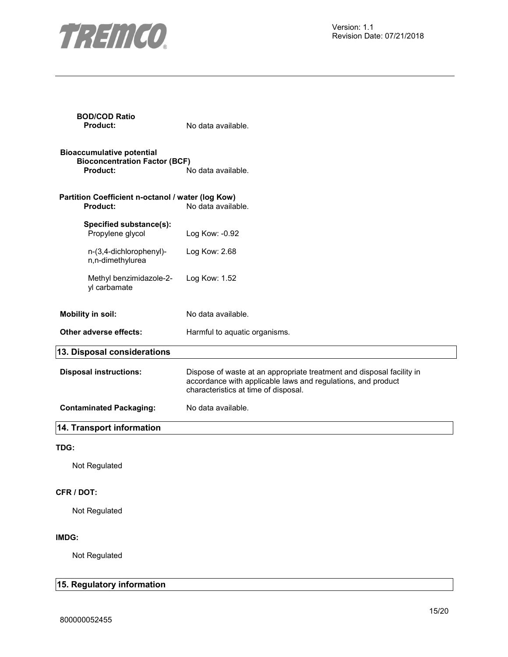

| <b>BOD/COD Ratio</b><br><b>Product:</b>                                                     | No data available.                                                                                                                                                            |
|---------------------------------------------------------------------------------------------|-------------------------------------------------------------------------------------------------------------------------------------------------------------------------------|
| <b>Bioaccumulative potential</b><br><b>Bioconcentration Factor (BCF)</b><br><b>Product:</b> | No data available.                                                                                                                                                            |
| Partition Coefficient n-octanol / water (log Kow)<br><b>Product:</b>                        | No data available.                                                                                                                                                            |
| Specified substance(s):<br>Propylene glycol                                                 | Log Kow: -0.92                                                                                                                                                                |
| n-(3,4-dichlorophenyl)-<br>n,n-dimethylurea                                                 | Log Kow: 2.68                                                                                                                                                                 |
| Methyl benzimidazole-2-<br>yl carbamate                                                     | Log Kow: 1.52                                                                                                                                                                 |
| <b>Mobility in soil:</b>                                                                    | No data available.                                                                                                                                                            |
| Other adverse effects:                                                                      | Harmful to aquatic organisms.                                                                                                                                                 |
| 13. Disposal considerations                                                                 |                                                                                                                                                                               |
| <b>Disposal instructions:</b>                                                               | Dispose of waste at an appropriate treatment and disposal facility in<br>accordance with applicable laws and regulations, and product<br>characteristics at time of disposal. |
| <b>Contaminated Packaging:</b>                                                              | No data available.                                                                                                                                                            |
| 14. Transport information                                                                   |                                                                                                                                                                               |
| TDG:                                                                                        |                                                                                                                                                                               |
| Not Regulated                                                                               |                                                                                                                                                                               |
| CFR / DOT:                                                                                  |                                                                                                                                                                               |
| Not Regulated                                                                               |                                                                                                                                                                               |
| IMDG:                                                                                       |                                                                                                                                                                               |
| Not Regulated                                                                               |                                                                                                                                                                               |
| 15. Regulatory information                                                                  |                                                                                                                                                                               |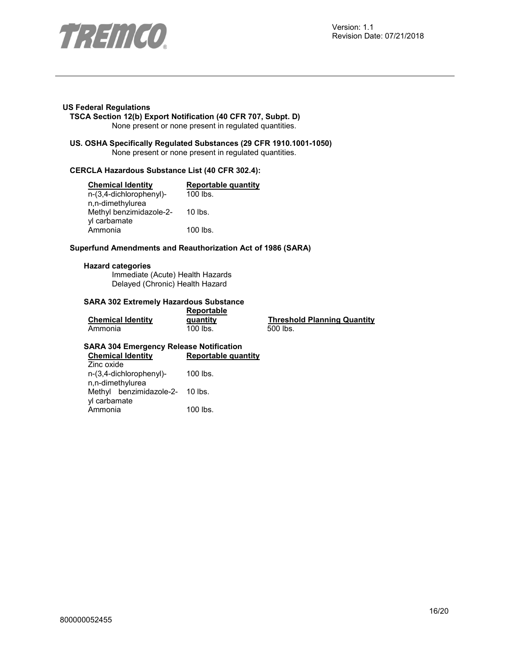

#### **US Federal Regulations**

**TSCA Section 12(b) Export Notification (40 CFR 707, Subpt. D)**  None present or none present in regulated quantities.

**US. OSHA Specifically Regulated Substances (29 CFR 1910.1001-1050)**  None present or none present in regulated quantities.

# **CERCLA Hazardous Substance List (40 CFR 302.4):**

| <b>Chemical Identity</b> | <b>Reportable quantity</b> |
|--------------------------|----------------------------|
| n-(3,4-dichlorophenyl)-  | 100 lbs.                   |
| n,n-dimethylurea         |                            |
| Methyl benzimidazole-2-  | $10$ lbs.                  |
| yl carbamate             |                            |
| Ammonia                  | 100 lbs.                   |

#### **Superfund Amendments and Reauthorization Act of 1986 (SARA)**

#### **Hazard categories**

Immediate (Acute) Health Hazards Delayed (Chronic) Health Hazard

#### **SARA 302 Extremely Hazardous Substance Reportable**

|                          | Reportable |                                    |  |
|--------------------------|------------|------------------------------------|--|
| <b>Chemical Identity</b> | quantity   | <b>Threshold Planning Quantity</b> |  |
| Ammonia                  | 100 lbs.   | 500 lbs.                           |  |

# **SARA 304 Emergency Release Notification**

| <b>Chemical Identity</b>        | <b>Reportable quantity</b> |  |
|---------------------------------|----------------------------|--|
| Zinc oxide                      |                            |  |
| n-(3,4-dichlorophenyl)-         | $100$ lbs.                 |  |
| n,n-dimethylurea                |                            |  |
| Methyl benzimidazole-2- 10 lbs. |                            |  |
| yl carbamate                    |                            |  |
| Ammonia                         | 100 lbs.                   |  |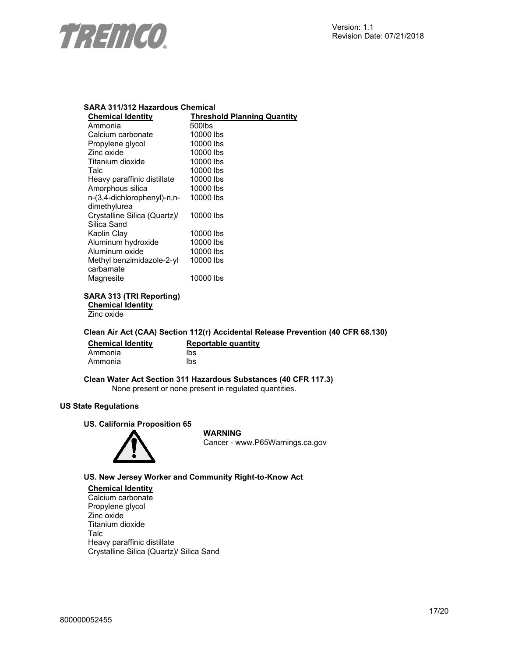

# **SARA 311/312 Hazardous Chemical**

| <b>Chemical Identity</b>     | <b>Threshold Planning Quantity</b> |
|------------------------------|------------------------------------|
| Ammonia                      | 500lbs                             |
| Calcium carbonate            | 10000 lbs                          |
| Propylene glycol             | 10000 lbs                          |
| Zinc oxide                   | 10000 lbs                          |
| Titanium dioxide             | 10000 lbs                          |
| Talc                         | 10000 lbs                          |
| Heavy paraffinic distillate  | 10000 lbs                          |
| Amorphous silica             | 10000 lbs                          |
| n-(3,4-dichlorophenyl)-n,n-  | 10000 lbs                          |
| dimethylurea                 |                                    |
| Crystalline Silica (Quartz)/ | 10000 lbs                          |
| Silica Sand                  |                                    |
| Kaolin Clay                  | 10000 lbs                          |
| Aluminum hydroxide           | 10000 lbs                          |
| Aluminum oxide               | 10000 lbs                          |
| Methyl benzimidazole-2-yl    | 10000 lbs                          |
| carbamate                    |                                    |
| Magnesite                    | 10000 lbs                          |
|                              |                                    |

# **SARA 313 (TRI Reporting) Chemical Identity**

Zinc oxide

# **Clean Air Act (CAA) Section 112(r) Accidental Release Prevention (40 CFR 68.130)**

| <b>Chemical Identity</b> | Reportable quantity |
|--------------------------|---------------------|
| Ammonia                  | lbs                 |
| Ammonia                  | lbs                 |

# **Clean Water Act Section 311 Hazardous Substances (40 CFR 117.3)**  None present or none present in regulated quantities.

# **US State Regulations**

# **US. California Proposition 65**



# **WARNING**

Cancer - www.P65Warnings.ca.gov

# **US. New Jersey Worker and Community Right-to-Know Act**

**Chemical Identity** Calcium carbonate Propylene glycol Zinc oxide Titanium dioxide Talc Heavy paraffinic distillate Crystalline Silica (Quartz)/ Silica Sand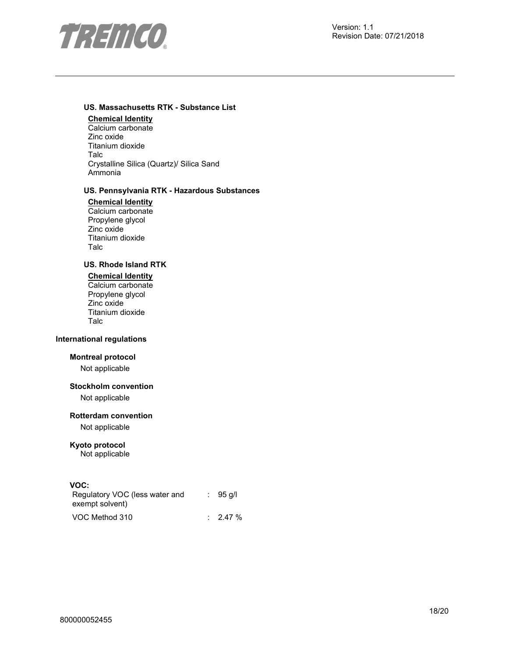

# **US. Massachusetts RTK - Substance List**

**Chemical Identity** Calcium carbonate Zinc oxide Titanium dioxide Talc Crystalline Silica (Quartz)/ Silica Sand Ammonia

# **US. Pennsylvania RTK - Hazardous Substances**

**Chemical Identity** Calcium carbonate Propylene glycol Zinc oxide Titanium dioxide Talc

# **US. Rhode Island RTK**

# **Chemical Identity**

Calcium carbonate Propylene glycol Zinc oxide Titanium dioxide Talc

# **International regulations**

# **Montreal protocol**

Not applicable

# **Stockholm convention**

Not applicable

# **Rotterdam convention**

Not applicable

# **Kyoto protocol**

Not applicable

# **VOC:**

| Regulatory VOC (less water and | $: 95$ q/l          |
|--------------------------------|---------------------|
| exempt solvent)                |                     |
| VOC Method 310                 | $\therefore$ 2.47 % |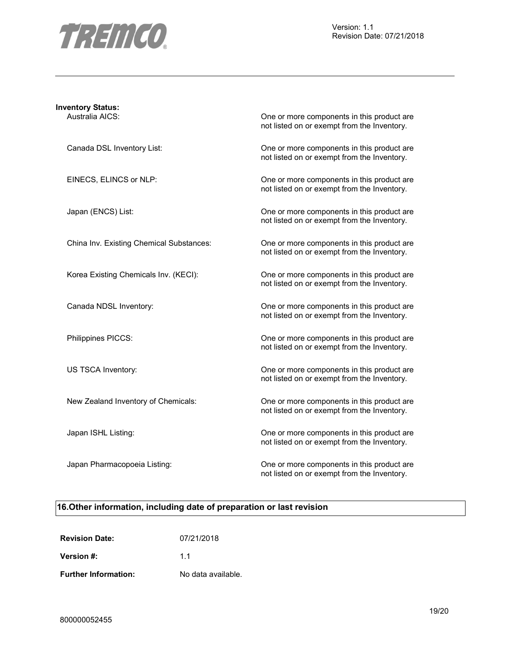

| <b>Inventory Status:</b><br>Australia AICS: | One or more components in this product are<br>not listed on or exempt from the Inventory. |
|---------------------------------------------|-------------------------------------------------------------------------------------------|
| Canada DSL Inventory List:                  | One or more components in this product are<br>not listed on or exempt from the Inventory. |
| EINECS, ELINCS or NLP:                      | One or more components in this product are<br>not listed on or exempt from the Inventory. |
| Japan (ENCS) List:                          | One or more components in this product are<br>not listed on or exempt from the Inventory. |
| China Inv. Existing Chemical Substances:    | One or more components in this product are<br>not listed on or exempt from the Inventory. |
| Korea Existing Chemicals Inv. (KECI):       | One or more components in this product are<br>not listed on or exempt from the Inventory. |
| Canada NDSL Inventory:                      | One or more components in this product are<br>not listed on or exempt from the Inventory. |
| Philippines PICCS:                          | One or more components in this product are<br>not listed on or exempt from the Inventory. |
| US TSCA Inventory:                          | One or more components in this product are<br>not listed on or exempt from the Inventory. |
| New Zealand Inventory of Chemicals:         | One or more components in this product are<br>not listed on or exempt from the Inventory. |
| Japan ISHL Listing:                         | One or more components in this product are<br>not listed on or exempt from the Inventory. |
| Japan Pharmacopoeia Listing:                | One or more components in this product are<br>not listed on or exempt from the Inventory. |

# **16.Other information, including date of preparation or last revision**

| <b>Revision Date:</b>       | 07/21/2018         |
|-----------------------------|--------------------|
| Version #:                  | 11                 |
| <b>Further Information:</b> | No data available. |